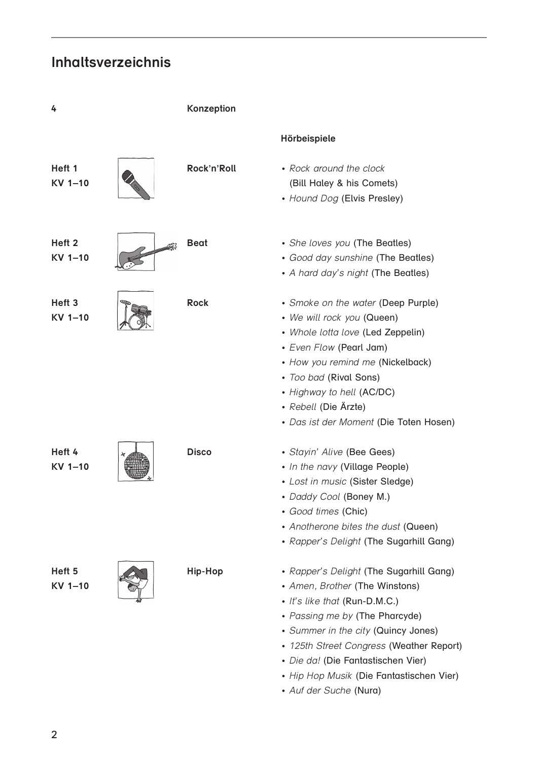## **Inhaltsverzeichnis**

| 4                            | Konzeption   |                                                                                                                                                                                                                                                                                                                                             |
|------------------------------|--------------|---------------------------------------------------------------------------------------------------------------------------------------------------------------------------------------------------------------------------------------------------------------------------------------------------------------------------------------------|
|                              |              | Hörbeispiele                                                                                                                                                                                                                                                                                                                                |
| Heft 1<br>KV 1-10            | Rock'n'Roll  | • Rock around the clock<br>(Bill Haley & his Comets)<br>• Hound Dog (Elvis Presley)                                                                                                                                                                                                                                                         |
| Heft <sub>2</sub><br>KV 1-10 | <b>Beat</b>  | • She loves you (The Beatles)<br>• Good day sunshine (The Beatles)<br>• A hard day's night (The Beatles)                                                                                                                                                                                                                                    |
| Heft <sub>3</sub><br>KV 1-10 | <b>Rock</b>  | • Smoke on the water (Deep Purple)<br>• We will rock you (Queen)<br>• Whole lotta love (Led Zeppelin)<br>• Even Flow (Pearl Jam)<br>• How you remind me (Nickelback)<br>• Too bad (Rival Sons)<br>• Highway to hell (AC/DC)<br>• Rebell (Die Ärzte)<br>• Das ist der Moment (Die Toten Hosen)                                               |
| Heft 4<br>KV 1-10            | <b>Disco</b> | · Stayin' Alive (Bee Gees)<br>• In the navy (Village People)<br>• Lost in music (Sister Sledge)<br>• Daddy Cool (Boney M.)<br>• Good times (Chic)<br>• Anotherone bites the dust (Queen)<br>• Rapper's Delight (The Sugarhill Gang)                                                                                                         |
| Heft 5<br>KV 1-10            | Hip-Hop      | • Rapper's Delight (The Sugarhill Gang)<br>• Amen, Brother (The Winstons)<br>• It's like that (Run-D.M.C.)<br>• Passing me by (The Pharcyde)<br>• Summer in the city (Quincy Jones)<br>• 125th Street Congress (Weather Report)<br>· Die da! (Die Fantastischen Vier)<br>• Hip Hop Musik (Die Fantastischen Vier)<br>• Auf der Suche (Nura) |